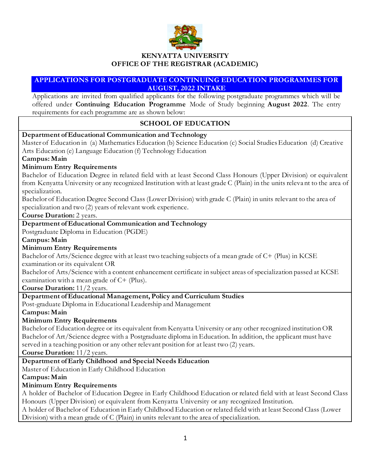

# **OFFICE OF THE REGISTRAR (ACADEMIC)**

#### **APPLICATIONS FOR POSTGRADUATE CONTINUING EDUCATION PROGRAMMES FOR AUGUST, 2022 INTAKE**

Applications are invited from qualified applicants for the following postgraduate programmes which will be offered under **Continuing Education Programme** Mode of Study beginning **August 2022**. The entry requirements for each programme are as shown below:

## **SCHOOL OF EDUCATION**

### **Department of Educational Communication and Technology** Master of Education in (a) Mathematics Education (b) Science Education (c) Social Studies Education (d) Creative Arts Education (e) Language Education (f) Technology Education **Campus: Main Minimum Entry Requirements** Bachelor of Education Degree in related field with at least Second Class Honours (Upper Division) or equivalent from Kenyatta University or any recognized Institution with at least grade C (Plain) in the units releva nt to the area of specialization. Bachelor of Education Degree Second Class (Lower Division) with grade C (Plain) in units relevant to the area of specialization and two (2) years of relevant work experience. **Course Duration:** 2 years. **Department of Educational Communication and Technology** Postgraduate Diploma in Education (PGDE) **Campus: Main Minimum Entry Requirements** Bachelor of Arts/Science degree with at least two teaching subjects of a mean grade of C+ (Plus) in KCSE examination or its equivalent OR Bachelor of Arts/Science with a content enhancement certificate in subject areas of specialization passed at KCSE examination with a mean grade of C+ (Plus). **Course Duration:** 11/2 years. **Department of Educational Management, Policy and Curriculum Studies** Post-graduate Diploma in Educational Leadership and Management **Campus: Main Minimum Entry Requirements** Bachelor of Education degree or its equivalent from Kenyatta University or any other recognized institution OR Bachelor of Art/Science degree with a Postgraduate diploma in Education. In addition, the applicant must have served in a teaching position or any other relevant position for at least two (2) years. **Course Duration:** 11/2 years. **Department of Early Childhood and Special Needs Education** Master of Education in Early Childhood Education **Campus: Main Minimum Entry Requirements** A holder of Bachelor of Education Degree in Early Childhood Education or related field with at least Second Class Honours (Upper Division) or equivalent from Kenyatta University or any recognized Institution.

A holder of Bachelor of Education in Early Childhood Education or related field with at least Second Class (Lower Division) with a mean grade of C (Plain) in units relevant to the area of specialization.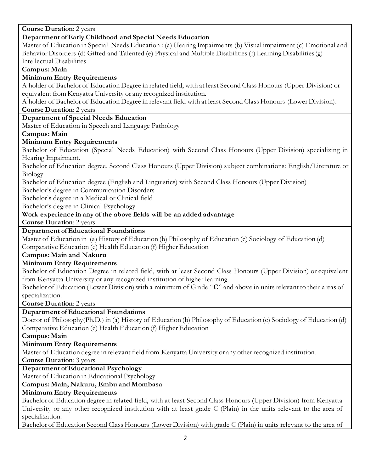**Course Duration**: 2 years **Department of Early Childhood and Special Needs Education** Master of Education in Special Needs Education : (a) Hearing Impairments (b) Visual impairment (c) Emotional and Behavior Disorders (d) Gifted and Talented (e) Physical and Multiple Disabilities (f) Learning Disabilities (g) Intellectual Disabilities **Campus: Main Minimum Entry Requirements** A holder of Bachelor of Education Degree in related field, with at least Second Class Honours (Upper Division) or equivalent from Kenyatta University or any recognized institution. A holder of Bachelor of Education Degree in relevant field with at least Second Class Honours (Lower Division). **Course Duration**: 2 years **Department of Special Needs Education** Master of Education in Speech and Language Pathology **Campus: Main Minimum Entry Requirements** Bachelor of Education (Special Needs Education) with Second Class Honours (Upper Division) specializing in Hearing Impairment. Bachelor of Education degree, Second Class Honours (Upper Division) subject combinations: English/Literature or Biology Bachelor of Education degree (English and Linguistics) with Second Class Honours (Upper Division) Bachelor's degree in Communication Disorders Bachelor's degree in a Medical or Clinical field Bachelor's degree in Clinical Psychology **Work experience in any of the above fields will be an added advantage Course Duration**: 2 years **Department of Educational Foundations** Master of Education in (a) History of Education (b) Philosophy of Education (c) Sociology of Education (d) Comparative Education (e) Health Education (f) Higher Education **Campus: Main and Nakuru Minimum Entry Requirements**  Bachelor of Education Degree in related field, with at least Second Class Honours (Upper Division) or equivalent from Kenyatta University or any recognized institution of higher learning. Bachelor of Education (Lower Division) with a minimum of Grade "**C**" and above in units relevant to their areas of specialization. **Course Duration**: 2 years **Department of Educational Foundations** Doctor of Philosophy(Ph.D.) in (a) History of Education (b) Philosophy of Education (c) Sociology of Education (d) Comparative Education (e) Health Education (f) Higher Education **Campus: Main Minimum Entry Requirements**  Master of Education degree in relevant field from Kenyatta University or any other recognized institution. **Course Duration**: 3 years **Department of Educational Psychology** Master of Education in Educational Psychology **Campus: Main, Nakuru, Embu and Mombasa Minimum Entry Requirements** Bachelor of Education degree in related field, with at least Second Class Honours (Upper Division) from Kenyatta

University or any other recognized institution with at least grade C (Plain) in the units relevant to the area of specialization.

Bachelor of Education Second Class Honours (Lower Division) with grade C (Plain) in units relevant to the area of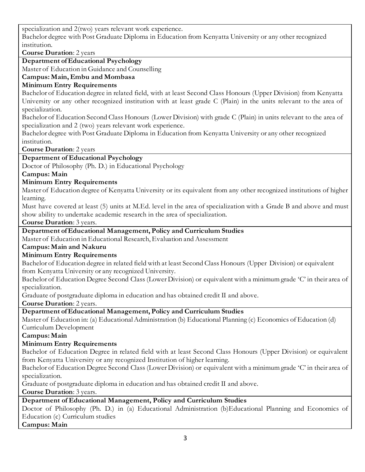specialization and 2(two) years relevant work experience.

Bachelor degree with Post Graduate Diploma in Education from Kenyatta University or any other recognized institution.

**Course Duration**: 2 years

**Department of Educational Psychology**

Master of Education in Guidance and Counselling

**Campus: Main, Embu and Mombasa**

## **Minimum Entry Requirements**

Bachelor of Education degree in related field, with at least Second Class Honours (Upper Division) from Kenyatta University or any other recognized institution with at least grade C (Plain) in the units relevant to the area of specialization.

Bachelor of Education Second Class Honours (Lower Division) with grade C (Plain) in units relevant to the area of specialization and 2 (two) years relevant work experience.

Bachelor degree with Post Graduate Diploma in Education from Kenyatta University or any other recognized institution.

**Course Duration**: 2 years

## **Department of Educational Psychology**

Doctor of Philosophy (Ph. D.) in Educational Psychology

**Campus: Main** 

## **Minimum Entry Requirements**

Master of Education degree of Kenyatta University or its equivalent from any other recognized institutions of higher learning.

Must have covered at least (5) units at M.Ed. level in the area of specialization with a Grade B and above and must show ability to undertake academic research in the area of specialization.

**Course Duration**: 3 years.

### **Department of Educational Management, Policy and Curriculum Studies**

Master of Education in Educational Research, Evaluation and Assessment

### **Campus: Main and Nakuru**

### **Minimum Entry Requirements**

Bachelor of Education degree in related field with at least Second Class Honours (Upper Division) or equivalent from Kenyatta University or any recognized University.

Bachelor of Education Degree Second Class (Lower Division) or equivalent with a minimum grade 'C' in their area of specialization.

Graduate of postgraduate diploma in education and has obtained credit II and above.

**Course Duration**: 2 years.

### **Department of Educational Management, Policy and Curriculum Studies**

Master of Education in: (a) Educational Administration (b) Educational Planning (c) Economics of Education (d) Curriculum Development

**Campus: Main**

### **Minimum Entry Requirements**

Bachelor of Education Degree in related field with at least Second Class Honours (Upper Division) or equivalent from Kenyatta University or any recognized Institution of higher learning.

Bachelor of Education Degree Second Class (Lower Division) or equivalent with a minimum grade 'C' in their area of specialization.

Graduate of postgraduate diploma in education and has obtained credit II and above.

**Course Duration**: 3 years.

**Department of Educational Management, Policy and Curriculum Studies**

Doctor of Philosophy (Ph. D.) in (a) Educational Administration (b)Educational Planning and Economics of Education (c) Curriculum studies

**Campus: Main**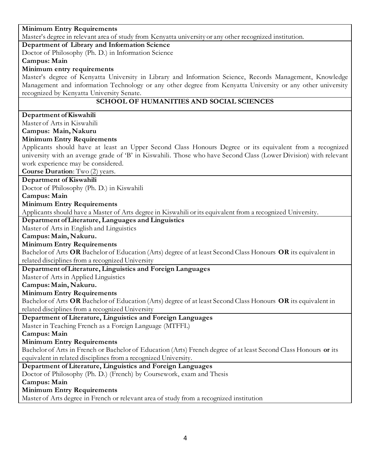### **Minimum Entry Requirements** Master's degree in relevant area of study from Kenyatta university or any other recognized institution. **Department of Library and Information Science** Doctor of Philosophy (Ph. D.) in Information Science **Campus: Main Minimum entry requirements** Master's degree of Kenyatta University in Library and Information Science, Records Management, Knowledge Management and information Technology or any other degree from Kenyatta University or any other university recognized by Kenyatta University Senate. **SCHOOL OF HUMANITIES AND SOCIAL SCIENCES Department of Kiswahili**  Master of Arts in Kiswahili **Campus: Main, Nakuru Minimum Entry Requirements** Applicants should have at least an Upper Second Class Honours Degree or its equivalent from a recognized university with an average grade of 'B' in Kiswahili. Those who have Second Class (Lower Division) with relevant work experience may be considered. **Course Duration**: Two (2) years. **Department of Kiswahili**  Doctor of Philosophy (Ph. D.) in Kiswahili **Campus: Main Minimum Entry Requirements**  Applicants should have a Master of Arts degree in Kiswahili or its equivalent from a recognized University. **Department of Literature, Languages and Linguistics** Master of Arts in English and Linguistics **Campus: Main, Nakuru. Minimum Entry Requirements** Bachelor of Arts **OR** Bachelor of Education (Arts) degree of at least Second Class Honours **OR** its equivalent in related disciplines from a recognized University **Department of Literature, Linguistics and Foreign Languages** Master of Arts in Applied Linguistics **Campus: Main, Nakuru. Minimum Entry Requirements** Bachelor of Arts **OR** Bachelor of Education (Arts) degree of at least Second Class Honours **OR** its equivalent in related disciplines from a recognized University **Department of Literature, Linguistics and Foreign Languages** Master in Teaching French as a Foreign Language (MTFFL) **Campus: Main Minimum Entry Requirements** Bachelor of Arts in French or Bachelor of Education (Arts) French degree of at least Second Class Honours **or** its equivalent in related disciplines from a recognized University. **Department of Literature, Linguistics and Foreign Languages** Doctor of Philosophy (Ph. D.) (French) by Coursework, exam and Thesis **Campus: Main**

**Minimum Entry Requirements**

Master of Arts degree in French or relevant area of study from a recognized institution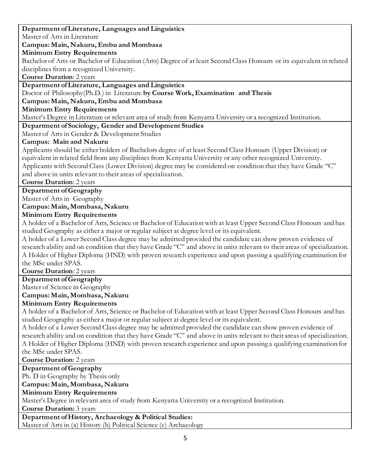#### **Department of Literature, Languages and Linguistics**

Master of Arts in Literature

#### **Campus: Main, Nakuru, Embu and Mombasa**

**Minimum Entry Requirements**

Bachelor of Arts or Bachelor of Education (Arts) Degree of at least Second Class Honours or its equivalent in related disciplines from a recognized University.

**Course Duration**: 2 years

#### **Department of Literature, Languages and Linguistics**

### Doctor of Philosophy(Ph.D.) in Literature **by Course Work, Examination and Thesis**

**Campus: Main, Nakuru, Embu and Mombasa**

#### **Minimum Entry Requirements**

Master's Degree in Literature or relevant area of study from Kenyatta University or a recognized Institution.

**Department of Sociology, Gender and Development Studies**

Master of Arts in Gender & Development Studies

### **Campus: Main and Nakuru**

Applicants should be either holders of Bachelors degree of at least Second Class Honours (Upper Division) or equivalent in related field from any disciplines from Kenyatta University or any other recognized University. Applicants with Second Class (Lower Division) degree may be considered on condition that they have Grade "C" and above in units relevant to their areas of specialization.

**Course Duration**: 2 years

### **Department of Geography**

Master of Arts in Geography

### **Campus: Main, Mombasa, Nakuru**

### **Minimum Entry Requirements**

A holder of a Bachelor of Arts, Science or Bachelor of Education with at least Upper Second Class Honours and has studied Geography as either a major or regular subject at degree level or its equivalent.

A holder of a Lower Second Class degree may be admitted provided the candidate can show proven evidence of research ability and on condition that they have Grade "C" and above in units relevant to their areas of specialization. A Holder of Higher Diploma (HND) with proven research experience and upon passing a qualifying examination for the MSc under SPAS.

**Course Duration**: 2 years

### **Department of Geography**

Master of Science in Geography

### **Campus: Main, Mombasa, Nakuru**

### **Minimum Entry Requirements**

A holder of a Bachelor of Arts, Science or Bachelor of Education with at least Upper Second Class Honours and has studied Geography as either a major or regular subject at degree level or its equivalent.

A holder of a Lower Second Class degree may be admitted provided the candidate can show proven evidence of research ability and on condition that they have Grade "C" and above in units relevant to their areas of specialization. A Holder of Higher Diploma (HND) with proven research experience and upon passing a qualifying examination for the MSc under SPAS.

**Course Duration**: 2 years

**Department of Geography**

Ph. D in Geography by Thesis only

**Campus: Main, Mombasa, Nakuru**

#### **Minimum Entry Requirements**

Master's Degree in relevant area of study from Kenyatta University or a recognized Institution.

**Course Duration:** 3 years

# **Department of History, Archaeology & Political Studies:**

Master of Arts in (a) History (b) Political Science (c) Archaeology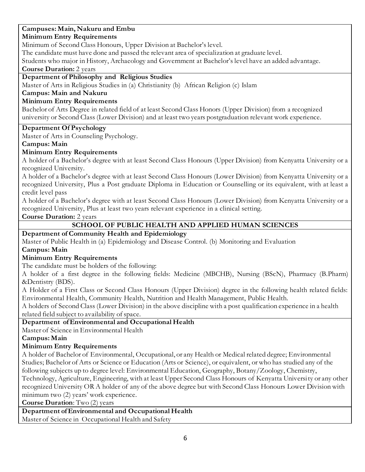## **Campuses: Main, Nakuru and Embu**

#### **Minimum Entry Requirements**

Minimum of Second Class Honours, Upper Division at Bachelor's level.

The candidate must have done and passed the relevant area of specialization at graduate level.

Students who major in History, Archaeology and Government at Bachelor's level have an added advantage.

**Course Duration:** 2 years

#### **Department of Philosophy and Religious Studies**

Master of Arts in Religious Studies in (a) Christianity (b) African Religion (c) Islam

#### **Campus: Main and Nakuru**

#### **Minimum Entry Requirements**

Bachelor of Arts Degree in related field of at least Second Class Honors (Upper Division) from a recognized university or Second Class (Lower Division) and at least two years postgraduation relevant work experience.

#### **Department Of Psychology**

Master of Arts in Counseling Psychology.

### **Campus: Main**

#### **Minimum Entry Requirements**

A holder of a Bachelor's degree with at least Second Class Honours (Upper Division) from Kenyatta University or a recognized University.

A holder of a Bachelor's degree with at least Second Class Honours (Lower Division) from Kenyatta University or a recognized University, Plus a Post graduate Diploma in Education or Counselling or its equivalent, with at least a credit level pass

A holder of a Bachelor's degree with at least Second Class Honours (Lower Division) from Kenyatta University or a recognized University, Plus at least two years relevant experience in a clinical setting.

**Course Duration:** 2 years

## **SCHOOL OF PUBLIC HEALTH AND APPLIED HUMAN SCIENCES**

## **Department of Community Health and Epidemiology**

Master of Public Health in (a) Epidemiology and Disease Control. (b) Monitoring and Evaluation

### **Campus: Main**

### **Minimum Entry Requirements**

The candidate must be holders of the following:

A holder of a first degree in the following fields: Medicine (MBCHB), Nursing (BScN), Pharmacy (B.Pharm) &Dentistry (BDS).

A Holder of a First Class or Second Class Honours (Upper Division) degree in the following health related fields: Environmental Health, Community Health, Nutrition and Health Management, Public Health.

A holders of Second Class (Lower Division) in the above discipline with a post qualification experience in a health related field subject to availability of space.

### **Department of Environmental and Occupational Health**

Master of Science in Environmental Health

### **Campus: Main**

### **Minimum Entry Requirements**

A holder of Bachelor of Environmental, Occupational, or any Health or Medical related degree; Environmental Studies; Bachelor of Arts or Science or Education (Arts or Science), or equivalent, or who has studied any of the following subjects up to degree level: Environmental Education, Geography, Botany/Zoology, Chemistry, Technology, Agriculture, Engineering, with at least Upper Second Class Honours of Kenyatta University or any other recognized University OR A holder of any of the above degree but with Second Class Honours Lower Division with minimum two (2) years' work experience.

**Course Duration**: Two (2) years

#### **Department of Environmental and Occupational Health**

Master of Science in Occupational Health and Safety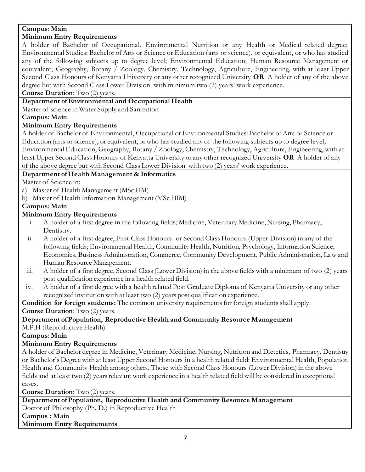# **Campus: Main**

## **Minimum Entry Requirements**

A holder of Bachelor of Occupational, Environmental Nutrition or any Health or Medical related degree; Environmental Studies: Bachelor of Arts or Science or Education (arts or science), or equivalent, or who has studied any of the following subjects up to degree level; Environmental Education, Human Resource Management or equivalent, Geography, Botany / Zoology, Chemistry, Technology, Agriculture, Engineering, with at le ast Upper Second Class Honours of Kenyatta University or any other recognized University **OR** A holder of any of the above degree but with Second Class Lower Division with minimum two (2) years' work experience.

**Course Duration**: Two (2) years.

## **Department of Environmental and Occupational Health**

Master of science in Water Supply and Sanitation

**Campus: Main**

## **Minimum Entry Requirements**

A holder of Bachelor of Environmental, Occupational or Environmental Studies: Bachelor of Arts or Science or Education (arts or science), or equivalent, or who has studied any of the following subjects up to degree level; Environmental Education, Geography, Botany / Zoology, Chemistry, Technology, Agriculture, Engineering, with at least Upper Second Class Honours of Kenyatta University or any other recognized University **OR** A holder of any of the above degree but with Second Class Lower Division with two (2) years' work experience.

## **Department of Health Management & Informatics**

Master of Science in:

- a) Master of Health Management (MSc HM)
- b) Master of Health Information Management (MSc HIM)

# **Campus: Main**

## **Minimum Entry Requirements**

- i. A holder of a first degree in the following fields; Medicine, Veterinary Medicine, Nursing, Pharmacy, Dentistry.
- ii. A holder of a first degree, First Class Honours or Second Class Honours (Upper Division) in any of the following fields; Environmental Health, Community Health, Nutrition, Psychology, Information Science, Economics, Business Administration, Commerce, Community Development, Public Administration, Law and Human Resource Management.
- iii. A holder of a first degree, Second Class (Lower Division) in the above fields with a minimum of two (2) years post qualification experience in a health related field.
- iv. A holder of a first degree with a health related Post Graduate Diploma of Kenyatta University or any other recognized institution with at least two (2) years post qualification experience.

**Condition for foreign students:** The common university requirements for foreign students shall apply. **Course Duration**: Two (2) years.

#### **Department of Population, Reproductive Health and Community Resource Management** M.P.H (Reproductive Health)

## **Campus: Main**

# **Minimum Entry Requirements**

A holder of Bachelor degree in Medicine, Veterinary Medicine, Nursing, Nutrition and Dietetics, Pharmacy, Dentistry or Bachelor's Degree with at least Upper Second Honours in a health related field: Environmental Health, Population Health and Community Health among others. Those with Second Class Honours (Lower Division) in the above fields and at least two (2) years relevant work experience in a health related field will be considered in exceptional cases.

**Course Duration**: Two (2) years.

**Department of Population, Reproductive Health and Community Resource Management** Doctor of Philosophy (Ph. D.) in Reproductive Health **Campus : Main Minimum Entry Requirements**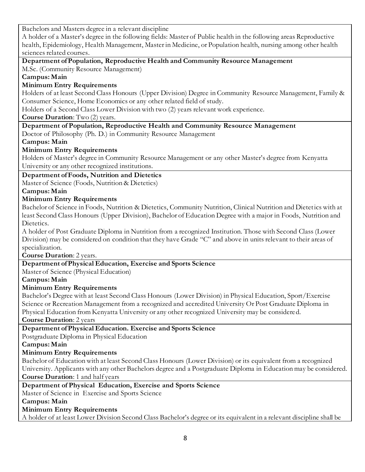Bachelors and Masters degree in a relevant discipline

A holder of a Master's degree in the following fields: Master of Public health in the following areas Reproductive health, Epidemiology, Health Management, Master in Medicine, or Population health, nursing among other health sciences related courses.

## **Department of Population, Reproductive Health and Community Resource Management**

M.Sc. (Community Resource Management)

**Campus: Main** 

## **Minimum Entry Requirements**

Holders of at least Second Class Honours (Upper Division) Degree in Community Resource Management, Family & Consumer Science, Home Economics or any other related field of study.

Holders of a Second Class Lower Division with two (2) years relevant work experience.

**Course Duration**: Two (2) years.

## **Department of Population, Reproductive Health and Community Resource Management**

Doctor of Philosophy (Ph. D.) in Community Resource Management

**Campus: Main** 

## **Minimum Entry Requirements**

Holders of Master's degree in Community Resource Management or any other Master's degree from Kenyatta University or any other recognized institutions.

## **Department of Foods, Nutrition and Dietetics**

Master of Science (Foods, Nutrition & Dietetics)

**Campus: Main**

## **Minimum Entry Requirements**

Bachelor of Science in Foods, Nutrition & Dietetics, Community Nutrition, Clinical Nutrition and Dietetics with at least Second Class Honours (Upper Division), Bachelor of Education Degree with a major in Foods, Nutrition and Dietetics.

A holder of Post Graduate Diploma in Nutrition from a recognized Institution. Those with Second Class (Lower Division) may be considered on condition that they have Grade "C" and above in units relevant to their areas of specialization.

**Course Duration**: 2 years.

## **Department of Physical Education, Exercise and Sports Science**

Master of Science (Physical Education)

## **Campus: Main**

## **Minimum Entry Requirements**

Bachelor's Degree with at least Second Class Honours (Lower Division) in Physical Education, Sport/Exercise Science or Recreation Management from a recognized and accredited University Or Post Graduate Diploma in Physical Education from Kenyatta University or any other recognized University may be considered.

**Course Duration**: 2 years

## **Department of Physical Education. Exercise and Sports Science**

Postgraduate Diploma in Physical Education

**Campus: Main**

## **Minimum Entry Requirements**

Bachelor of Education with at least Second Class Honours (Lower Division) or its equivalent from a recognized University. Applicants with any other Bachelors degree and a Postgraduate Diploma in Education may be considered. **Course Duration**: 1 and half years

## **Department of Physical Education, Exercise and Sports Science**

Master of Science in Exercise and Sports Science

**Campus: Main** 

## **Minimum Entry Requirements**

A holder of at least Lower Division Second Class Bachelor's degree or its equivalent in a relevant discipline shall be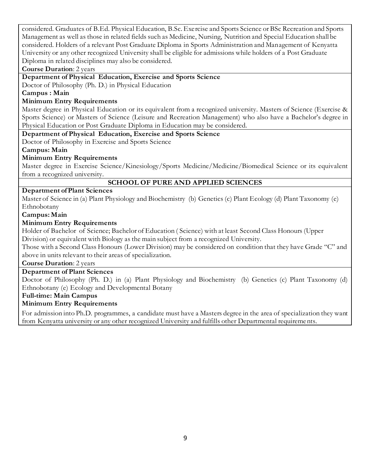considered. Graduates of B.Ed. Physical Education, B.Sc. Exercise and Sports Science or BSc Recreation and Sports Management as well as those in related fields such as Medicine, Nursing, Nutrition and Special Education shall be considered. Holders of a relevant Post Graduate Diploma in Sports Administration and Management of Kenyatta University or any other recognized University shall be eligible for admissions while holders of a Post Graduate Diploma in related disciplines may also be considered.

**Course Duration**: 2 years

**Department of Physical Education, Exercise and Sports Science**

Doctor of Philosophy (Ph. D.) in Physical Education

**Campus : Main**

### **Minimum Entry Requirements**

Master degree in Physical Education or its equivalent from a recognized university. Masters of Science (Exercise & Sports Science) or Masters of Science (Leisure and Recreation Management) who also have a Bachelor's degree in Physical Education or Post Graduate Diploma in Education may be considered.

#### **Department of Physical Education, Exercise and Sports Science**

Doctor of Philosophy in Exercise and Sports Science

**Campus: Main**

### **Minimum Entry Requirements**

Master degree in Exercise Science/Kinesiology/Sports Medicine/Medicine/Biomedical Science or its equivalent from a recognized university.

### **SCHOOL OF PURE AND APPLIED SCIENCES**

#### **Department of Plant Sciences**

Master of Science in (a) Plant Physiology and Biochemistry (b) Genetics (c) Plant Ecology (d) Plant Taxonomy (e) Ethnobotany

**Campus: Main** 

#### **Minimum Entry Requirements**

Holder of Bachelor of Science; Bachelor of Education ( Science) with at least Second Class Honours (Upper Division) or equivalent with Biology as the main subject from a recognized University.

Those with a Second Class Honours (Lower Division) may be considered on condition that they have Grade "C" and above in units relevant to their areas of specialization.

**Course Duration**: 2 years

### **Department of Plant Sciences**

Doctor of Philosophy (Ph. D.) in (a) Plant Physiology and Biochemistry (b) Genetics (c) Plant Taxonomy (d) Ethnobotany (e) Ecology and Developmental Botany

### **Full-time: Main Campus**

#### **Minimum Entry Requirements**

For admission into Ph.D. programmes, a candidate must have a Masters degree in the area of specialization they want from Kenyatta university or any other recognized University and fulfills other Departmental requirements.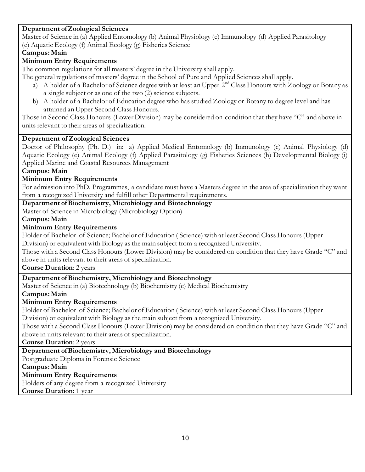### **Department of Zoological Sciences**

Master of Science in (a) Applied Entomology (b) Animal Physiology (c) Immunology (d) Applied Parasitology (e) Aquatic Ecology (f) Animal Ecology (g) Fisheries Science

### **Campus: Main**

## **Minimum Entry Requirements**

The common regulations for all masters' degree in the University shall apply.

The general regulations of masters' degree in the School of Pure and Applied Sciences shall apply.

- a) A holder of a Bachelor of Science degree with at least an Upper  $2<sup>nd</sup>$  Class Honours with Zoology or Botany as a single subject or as one of the two (2) science subjects.
- b) A holder of a Bachelor of Education degree who has studied Zoology or Botany to degree level and has attained an Upper Second Class Honours.

Those in Second Class Honours (Lower Division) may be considered on condition that they have "C" and above in units relevant to their areas of specialization.

### **Department of Zoological Sciences**

Doctor of Philosophy (Ph. D.) in: a) Applied Medical Entomology (b) Immunology (c) Animal Physiology (d) Aquatic Ecology (e) Animal Ecology (f) Applied Parasitology (g) Fisheries Sciences (h) Developmental Biology (i) Applied Marine and Coastal Resources Management

### **Campus: Main**

## **Minimum Entry Requirements**

For admission into PhD. Programmes, a candidate must have a Masters degree in the area of specialization they want from a recognized University and fulfill other Departmental requirements.

#### **Department of Biochemistry, Microbiology and Biotechnology**

Master of Science in Microbiology (Microbiology Option)

### **Campus: Main**

### **Minimum Entry Requirements**

Holder of Bachelor of Science; Bachelor of Education ( Science) with at least Second Class Honours (Upper Division) or equivalent with Biology as the main subject from a recognized University.

Those with a Second Class Honours (Lower Division) may be considered on condition that they have Grade "C" and above in units relevant to their areas of specialization.

**Course Duration**: 2 years

## **Department of Biochemistry, Microbiology and Biotechnology**

Master of Science in (a) Biotechnology (b) Biochemistry (c) Medical Biochemistry

### **Campus: Main**

### **Minimum Entry Requirements**

Holder of Bachelor of Science; Bachelor of Education ( Science) with at least Second Class Honours (Upper Division) or equivalent with Biology as the main subject from a recognized University.

Those with a Second Class Honours (Lower Division) may be considered on condition that they have Grade "C" and above in units relevant to their areas of specialization.

**Course Duration**: 2 years

### **Department of Biochemistry, Microbiology and Biotechnology**

Postgraduate Diploma in Forensic Science

### **Campus: Main**

### **Minimum Entry Requirements**

Holders of any degree from a recognized University

**Course Duration:** 1 year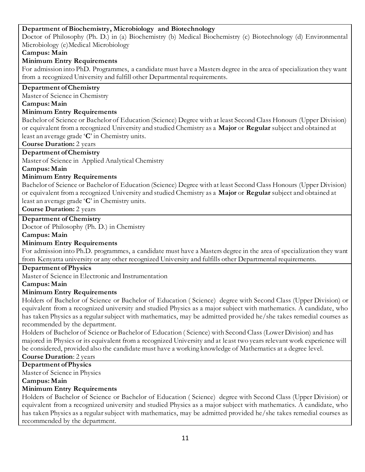### **Department of Biochemistry, Microbiology and Biotechnology**

Doctor of Philosophy (Ph. D.) in (a) Biochemistry (b) Medical Biochemistry (c) Biotechnology (d) Environmental Microbiology (e)Medical Microbiology

#### **Campus: Main**

#### **Minimum Entry Requirements**

For admission into PhD. Programmes, a candidate must have a Masters degree in the area of specialization they want from a recognized University and fulfill other Departmental requirements.

#### **Department of Chemistry**

Master of Science in Chemistry

#### **Campus: Main**

### **Minimum Entry Requirements**

Bachelor of Science or Bachelor of Education (Science) Degree with at least Second Class Honours (Upper Division) or equivalent from a recognized University and studied Chemistry as a **Major** or **Regular** subject and obtained at least an average grade '**C**' in Chemistry units.

**Course Duration:** 2 years

### **Department of Chemistry**

Master of Science in Applied Analytical Chemistry

#### **Campus: Main**

### **Minimum Entry Requirements**

Bachelor of Science or Bachelor of Education (Science) Degree with at least Second Class Honours (Upper Division) or equivalent from a recognized University and studied Chemistry as a **Major** or **Regular** subject and obtained at least an average grade '**C**' in Chemistry units.

**Course Duration:** 2 years

#### **Department of Chemistry**

Doctor of Philosophy (Ph. D.) in Chemistry

**Campus: Main** 

### **Minimum Entry Requirements**

For admission into Ph.D. programmes, a candidate must have a Masters degree in the area of specialization they want from Kenyatta university or any other recognized University and fulfills other Departmental requirements.

#### **Department of Physics**

Master of Science in Electronic and Instrumentation

#### **Campus: Main**

### **Minimum Entry Requirements**

Holders of Bachelor of Science or Bachelor of Education ( Science) degree with Second Class (Upper Division) or equivalent from a recognized university and studied Physics as a major subject with mathematics. A candidate, who has taken Physics as a regular subject with mathematics, may be admitted provided he/she takes remedial courses as recommended by the department.

Holders of Bachelor of Science or Bachelor of Education ( Science) with Second Class (Lower Division) and has majored in Physics or its equivalent from a recognized University and at least two years relevant work experience will be considered, provided also the candidate must have a working knowledge of Mathematics at a degree level.

### **Course Duration**: 2 years

**Department of Physics**

Master of Science in Physics

#### **Campus: Main**

### **Minimum Entry Requirements**

Holders of Bachelor of Science or Bachelor of Education ( Science) degree with Second Class (Upper Division) or equivalent from a recognized university and studied Physics as a major subject with mathematics. A candidate, who has taken Physics as a regular subject with mathematics, may be admitted provided he/she takes remedial courses as recommended by the department.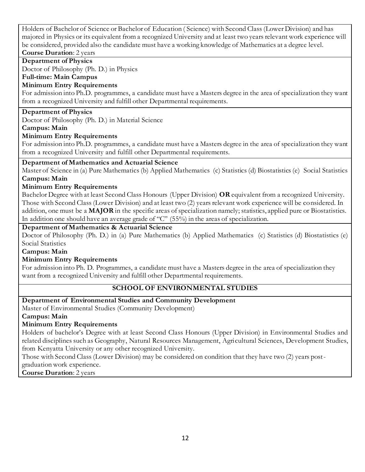Holders of Bachelor of Science or Bachelor of Education ( Science) with Second Class (Lower Division) and has majored in Physics or its equivalent from a recognized University and at least two years relevant work experience will be considered, provided also the candidate must have a working knowledge of Mathematics at a degree level.

#### **Course Duration**: 2 years

**Department of Physics**

Doctor of Philosophy (Ph. D.) in Physics

**Full-time: Main Campus**

#### **Minimum Entry Requirements**

For admission into Ph.D. programmes, a candidate must have a Masters degree in the area of specialization they want from a recognized University and fulfill other Departmental requirements.

#### **Department of Physics**

Doctor of Philosophy (Ph. D.) in Material Science

#### **Campus: Main**

### **Minimum Entry Requirements**

For admission into Ph.D. programmes, a candidate must have a Masters degree in the area of specialization they want from a recognized University and fulfill other Departmental requirements.

#### **Department of Mathematics and Actuarial Science**

Master of Science in (a) Pure Mathematics (b) Applied Mathematics (c) Statistics (d) Biostatistics (e) Social Statistics **Campus: Main** 

#### **Minimum Entry Requirements**

Bachelor Degree with at least Second Class Honours (Upper Division) **OR** equivalent from a recognized University. Those with Second Class (Lower Division) and at least two (2) years relevant work experience will be considered. In addition, one must be a **MAJOR** in the specific areas of specialization namely; statistics, applied pure or Biostatistics. In addition one should have an average grade of "C" (55%) in the areas of specialization.

#### **Department of Mathematics & Actuarial Science**

Doctor of Philosophy (Ph. D.) in (a) Pure Mathematics (b) Applied Mathematics (c) Statistics (d) Biostatistics (e) Social Statistics

#### **Campus: Main**

### **Minimum Entry Requirements**

For admission into Ph. D. Programmes, a candidate must have a Masters degree in the area of specialization they want from a recognized University and fulfill other Departmental requirements.

### **SCHOOL OF ENVIRONMENTAL STUDIES**

### **Department of Environmental Studies and Community Development**

Master of Environmental Studies (Community Development)

**Campus: Main** 

### **Minimum Entry Requirements**

Holders of bachelor's Degree with at least Second Class Honours (Upper Division) in Environmental Studies and related disciplines such as Geography, Natural Resources Management, Agricultural Sciences, Development Studies, from Kenyatta University or any other recognized University.

Those with Second Class (Lower Division) may be considered on condition that they have two (2) years postgraduation work experience.

**Course Duration**: 2 years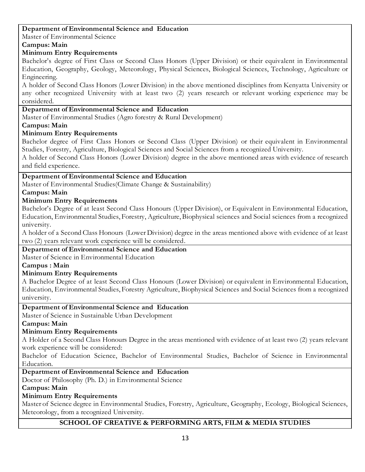#### **Department of Environmental Science and Education**

Master of Environmental Science

### **Campus: Main**

## **Minimum Entry Requirements**

Bachelor's degree of First Class or Second Class Honors (Upper Division) or their equivalent in Environmental Education, Geography, Geology, Meteorology, Physical Sciences, Biological Sciences, Technology, Agriculture or Engineering.

A holder of Second Class Honors (Lower Division) in the above mentioned disciplines from Kenyatta University or any other recognized University with at least two (2) years research or relevant working experience may be considered.

#### **Department of Environmental Science and Education**

Master of Environmental Studies (Agro forestry & Rural Development)

### **Campus: Main**

## **Minimum Entry Requirements**

Bachelor degree of First Class Honors or Second Class (Upper Division) or their equivalent in Environmental Studies, Forestry, Agriculture, Biological Sciences and Social Sciences from a recognized University.

A holder of Second Class Honors (Lower Division) degree in the above mentioned areas with evidence of research and field experience.

### **Department of Environmental Science and Education**

Master of Environmental Studies(Climate Change & Sustainability)

### **Campus: Main**

## **Minimum Entry Requirements**

Bachelor's Degree of at least Second Class Honours (Upper Division), or Equivalent in Environmental Education, Education, Environmental Studies, Forestry, Agriculture, Biophysical sciences and Social sciences from a recognized university.

A holder of a Second Class Honours (Lower Division) degree in the areas mentioned above with evidence of at least two (2) years relevant work experience will be considered.

### **Department of Environmental Science and Education**

Master of Science in Environmental Education

**Campus : Main** 

### **Minimum Entry Requirements**

A Bachelor Degree of at least Second Class Honours (Lower Division) or equivalent in Environmental Education, Education, Environmental Studies, Forestry Agriculture, Biophysical Sciences and Social Sciences from a recognized university.

### **Department of Environmental Science and Education**

Master of Science in Sustainable Urban Development

### **Campus: Main**

## **Minimum Entry Requirements**

A Holder of a Second Class Honours Degree in the areas mentioned with evidence of at least two (2) years relevant work experience will be considered:

Bachelor of Education Science, Bachelor of Environmental Studies, Bachelor of Science in Environmental Education.

### **Department of Environmental Science and Education**

Doctor of Philosophy (Ph. D.) in Environmental Science

### **Campus: Main**

## **Minimum Entry Requirements**

Master of Science degree in Environmental Studies, Forestry, Agriculture, Geography, Ecology, Biological Sciences, Meteorology, from a recognized University.

## **SCHOOL OF CREATIVE & PERFORMING ARTS, FILM & MEDIA STUDIES**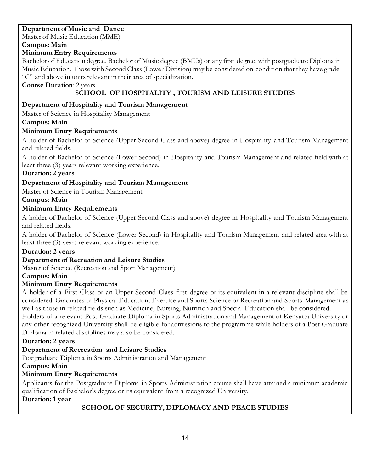## **Department of Music and Dance**

Master of Music Education (MME)

## **Campus: Main**

# **Minimum Entry Requirements**

Bachelor of Education degree, Bachelor of Music degree (BMUs) or any first degree, with postgraduate Diploma in Music Education. Those with Second Class (Lower Division) may be considered on condition that they have grade "C" and above in units relevant in their area of specialization.

**Course Duration**: 2 years

## **SCHOOL OF HOSPITALITY , TOURISM AND LEISURE STUDIES**

### **Department of Hospitality and Tourism Management**

Master of Science in Hospitality Management

## **Campus: Main**

## **Minimum Entry Requirements**

A holder of Bachelor of Science (Upper Second Class and above) degree in Hospitality and Tourism Management and related fields.

A holder of Bachelor of Science (Lower Second) in Hospitality and Tourism Management and related field with at least three (3) years relevant working experience.

### **Duration: 2 years**

## **Department of Hospitality and Tourism Management**

Master of Science in Tourism Management

## **Campus: Main**

## **Minimum Entry Requirements**

A holder of Bachelor of Science (Upper Second Class and above) degree in Hospitality and Tourism Management and related fields.

A holder of Bachelor of Science (Lower Second) in Hospitality and Tourism Management and related area with at least three (3) years relevant working experience.

### **Duration: 2 years**

### **Department of Recreation and Leisure Studies**

Master of Science (Recreation and Sport Management)

### **Campus: Main**

### **Minimum Entry Requirements**

A holder of a First Class or an Upper Second Class first degree or its equivalent in a relevant discipline shall be considered. Graduates of Physical Education, Exercise and Sports Science or Recreation and Sports Management as well as those in related fields such as Medicine, Nursing, Nutrition and Special Education shall be considered. Holders of a relevant Post Graduate Diploma in Sports Administration and Management of Kenyatta University or any other recognized University shall be eligible for admissions to the programme while holders of a Post Graduate Diploma in related disciplines may also be considered.

### **Duration: 2 years**

## **Department of Recreation and Leisure Studies**

Postgraduate Diploma in Sports Administration and Management

### **Campus: Main**

## **Minimum Entry Requirements**

Applicants for the Postgraduate Diploma in Sports Administration course shall have attained a minimum academic qualification of Bachelor's degree or its equivalent from a recognized University.

### **Duration: 1 year**

## **SCHOOL OF SECURITY, DIPLOMACY AND PEACE STUDIES**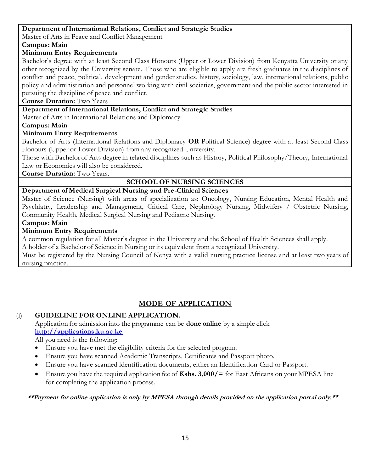#### **Department of International Relations, Conflict and Strategic Studies**

Master of Arts in Peace and Conflict Management

**Campus: Main** 

#### **Minimum Entry Requirements**

Bachelor's degree with at least Second Class Honours (Upper or Lower Division) from Kenyatta University or any other recognized by the University senate. Those who are eligible to apply are fresh graduates in the disciplines of conflict and peace, political, development and gender studies, history, sociology, law, international relations, public policy and administration and personnel working with civil societies, government and the public sector interested in pursuing the discipline of peace and conflict.

**Course Duration:** Two Years

#### **Department of International Relations, Conflict and Strategic Studies**

Master of Arts in International Relations and Diplomacy

#### **Campus: Main**

### **Minimum Entry Requirements**

Bachelor of Arts (International Relations and Diplomacy **OR** Political Science) degree with at least Second Class Honours (Upper or Lower Division) from any recognized University.

Those with Bachelor of Arts degree in related disciplines such as History, Political Philosophy/Theory, International Law or Economics will also be considered.

**Course Duration:** Two Years.

### **SCHOOL OF NURSING SCIENCES**

#### **Department of Medical Surgical Nursing and Pre-Clinical Sciences**

Master of Science (Nursing) with areas of specialization as: Oncology, Nursing Education, Mental Health and Psychiatry, Leadership and Management, Critical Care, Nephrology Nursing, Midwifery / Obstetric Nursing, Community Health, Medical Surgical Nursing and Pediatric Nursing.

#### **Campus: Main**

#### **Minimum Entry Requirements**

A common regulation for all Master's degree in the University and the School of Health Sciences shall apply.

A holder of a Bachelor of Science in Nursing or its equivalent from a recognized University.

Must be registered by the Nursing Council of Kenya with a valid nursing practice license and at least two years of nursing practice.

## **MODE OF APPLICATION**

### (i) **GUIDELINE FOR ONLINE APPLICATION.**

Application for admission into the programme can be **done online** by a simple click **[http://applications.ku.ac.ke](http://applications.ku.ac.ke/)**

All you need is the following:

- Ensure you have met the eligibility criteria for the selected program.
- Ensure you have scanned Academic Transcripts, Certificates and Passport photo.
- Ensure you have scanned identification documents, either an Identification Card or Passport.
- Ensure you have the required application fee of **Kshs. 3,000/=** for East Africans on your MPESA line for completing the application process.

#### **\*\*Payment for online application is only by MPESA through details provided on the application portal only.\*\***